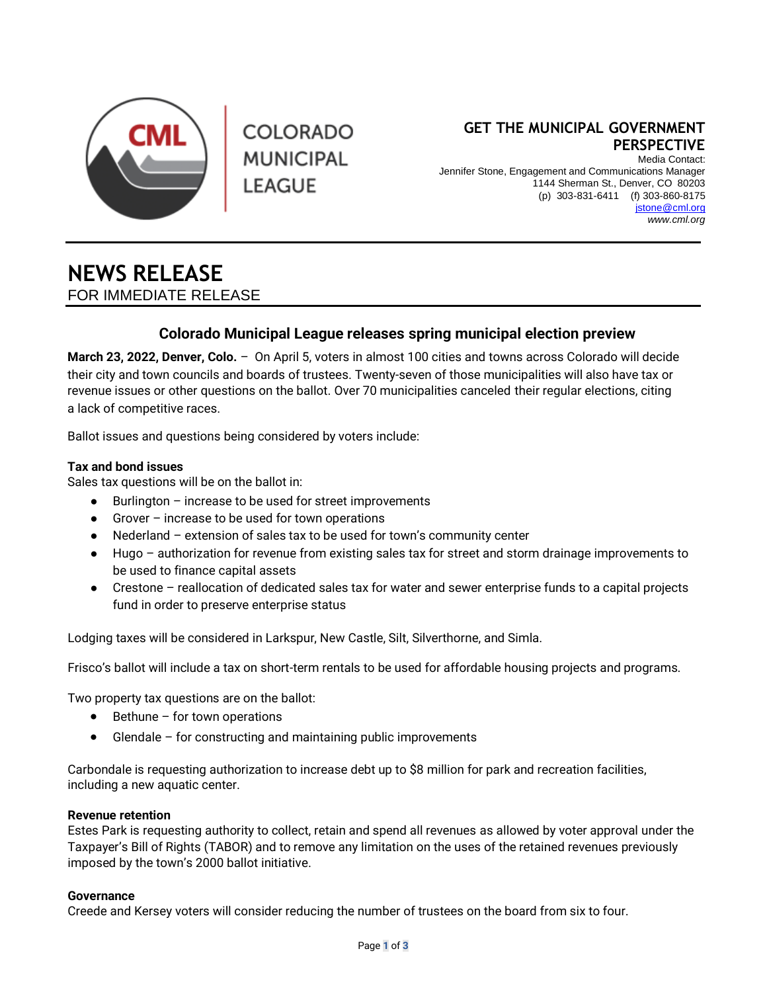

**COLORADO MUNICIPAL** LEAGUE

# **GET THE MUNICIPAL GOVERNMENT PERSPECTIVE**

Media Contact: Jennifer Stone, Engagement and Communications Manager 1144 Sherman St., Denver, CO 80203 (p) 303-831-6411 (f) 303-860-8175 jston[e@cml.org](mailto:swerner@cml.org) *[www.cml.org](http://www.cml.org/)*

# **NEWS RELEASE** FOR IMMEDIATE RELEASE

# **Colorado Municipal League releases spring municipal election preview**

**March 23, 2022, Denver, Colo.** – On April 5, voters in almost 100 cities and towns across Colorado will decide their city and town councils and boards of trustees. Twenty-seven of those municipalities will also have tax or revenue issues or other questions on the ballot. Over 70 municipalities canceled their regular elections, citing a lack of competitive races.

Ballot issues and questions being considered by voters include:

## **Tax and bond issues**

Sales tax questions will be on the ballot in:

- Burlington increase to be used for street improvements
- Grover increase to be used for town operations
- Nederland extension of sales tax to be used for town's community center
- Hugo authorization for revenue from existing sales tax for street and storm drainage improvements to be used to finance capital assets
- Crestone reallocation of dedicated sales tax for water and sewer enterprise funds to a capital projects fund in order to preserve enterprise status

Lodging taxes will be considered in Larkspur, New Castle, Silt, Silverthorne, and Simla.

Frisco's ballot will include a tax on short-term rentals to be used for affordable housing projects and programs.

Two property tax questions are on the ballot:

- Bethune for town operations
- Glendale for constructing and maintaining public improvements

Carbondale is requesting authorization to increase debt up to \$8 million for park and recreation facilities, including a new aquatic center.

### **Revenue retention**

Estes Park is requesting authority to collect, retain and spend all revenues as allowed by voter approval under the Taxpayer's Bill of Rights (TABOR) and to remove any limitation on the uses of the retained revenues previously imposed by the town's 2000 ballot initiative.

### **Governance**

Creede and Kersey voters will consider reducing the number of trustees on the board from six to four.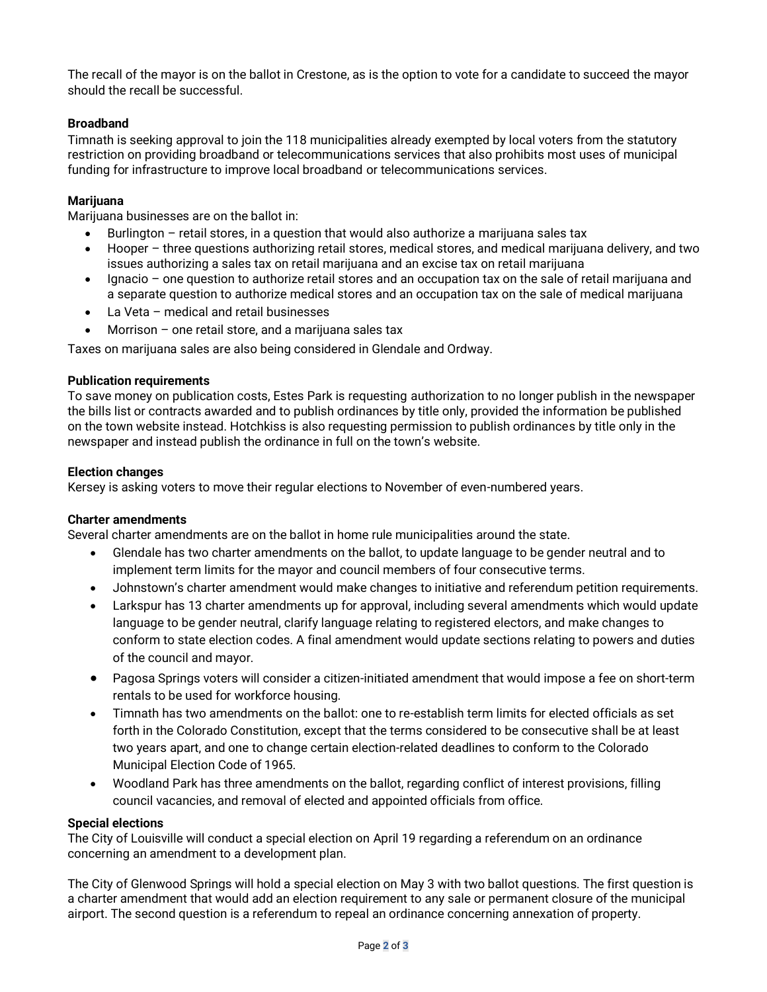The recall of the mayor is on the ballot in Crestone, as is the option to vote for a candidate to succeed the mayor should the recall be successful.

## **Broadband**

Timnath is seeking approval to join the 118 municipalities already exempted by local voters from the statutory restriction on providing broadband or telecommunications services that also prohibits most uses of municipal funding for infrastructure to improve local broadband or telecommunications services.

## **Marijuana**

Marijuana businesses are on the ballot in:

- Burlington retail stores, in a question that would also authorize a marijuana sales tax
- Hooper three questions authorizing retail stores, medical stores, and medical marijuana delivery, and two issues authorizing a sales tax on retail marijuana and an excise tax on retail marijuana
- Ignacio one question to authorize retail stores and an occupation tax on the sale of retail marijuana and a separate question to authorize medical stores and an occupation tax on the sale of medical marijuana
- La Veta medical and retail businesses
- Morrison one retail store, and a marijuana sales tax

Taxes on marijuana sales are also being considered in Glendale and Ordway.

#### **Publication requirements**

To save money on publication costs, Estes Park is requesting authorization to no longer publish in the newspaper the bills list or contracts awarded and to publish ordinances by title only, provided the information be published on the town website instead. Hotchkiss is also requesting permission to publish ordinances by title only in the newspaper and instead publish the ordinance in full on the town's website.

#### **Election changes**

Kersey is asking voters to move their regular elections to November of even-numbered years.

#### **Charter amendments**

Several charter amendments are on the ballot in home rule municipalities around the state.

- Glendale has two charter amendments on the ballot, to update language to be gender neutral and to implement term limits for the mayor and council members of four consecutive terms.
- Johnstown's charter amendment would make changes to initiative and referendum petition requirements.
- Larkspur has 13 charter amendments up for approval, including several amendments which would update language to be gender neutral, clarify language relating to registered electors, and make changes to conform to state election codes. A final amendment would update sections relating to powers and duties of the council and mayor.
- Pagosa Springs voters will consider a citizen-initiated amendment that would impose a fee on short-term rentals to be used for workforce housing.
- Timnath has two amendments on the ballot: one to re-establish term limits for elected officials as set forth in the Colorado Constitution, except that the terms considered to be consecutive shall be at least two years apart, and one to change certain election-related deadlines to conform to the Colorado Municipal Election Code of 1965.
- Woodland Park has three amendments on the ballot, regarding conflict of interest provisions, filling council vacancies, and removal of elected and appointed officials from office.

#### **Special elections**

The City of Louisville will conduct a special election on April 19 regarding a referendum on an ordinance concerning an amendment to a development plan.

The City of Glenwood Springs will hold a special election on May 3 with two ballot questions. The first question is a charter amendment that would add an election requirement to any sale or permanent closure of the municipal airport. The second question is a referendum to repeal an ordinance concerning annexation of property.